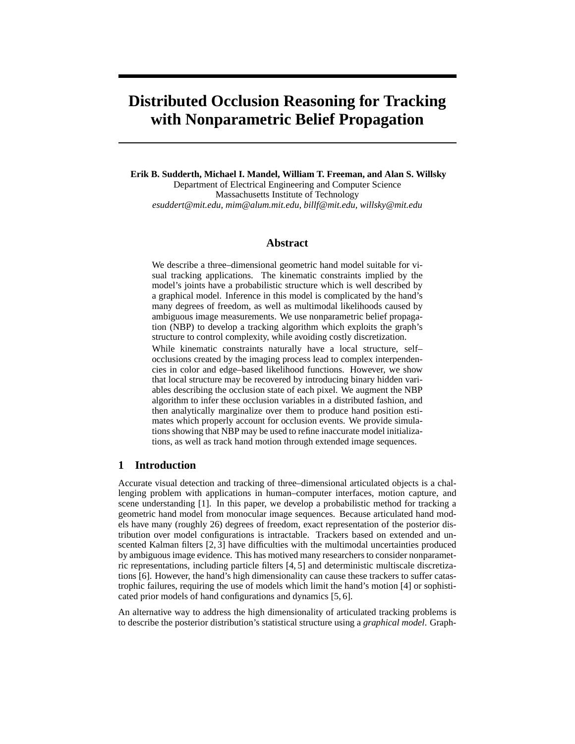# **Distributed Occlusion Reasoning for Tracking with Nonparametric Belief Propagation**

**Erik B. Sudderth, Michael I. Mandel, William T. Freeman, and Alan S. Willsky** Department of Electrical Engineering and Computer Science Massachusetts Institute of Technology *esuddert@mit.edu, mim@alum.mit.edu, billf@mit.edu, willsky@mit.edu*

## **Abstract**

We describe a three–dimensional geometric hand model suitable for visual tracking applications. The kinematic constraints implied by the model's joints have a probabilistic structure which is well described by a graphical model. Inference in this model is complicated by the hand's many degrees of freedom, as well as multimodal likelihoods caused by ambiguous image measurements. We use nonparametric belief propagation (NBP) to develop a tracking algorithm which exploits the graph's structure to control complexity, while avoiding costly discretization.

While kinematic constraints naturally have a local structure, self– occlusions created by the imaging process lead to complex interpendencies in color and edge–based likelihood functions. However, we show that local structure may be recovered by introducing binary hidden variables describing the occlusion state of each pixel. We augment the NBP algorithm to infer these occlusion variables in a distributed fashion, and then analytically marginalize over them to produce hand position estimates which properly account for occlusion events. We provide simulations showing that NBP may be used to refine inaccurate model initializations, as well as track hand motion through extended image sequences.

## **1 Introduction**

Accurate visual detection and tracking of three–dimensional articulated objects is a challenging problem with applications in human–computer interfaces, motion capture, and scene understanding [1]. In this paper, we develop a probabilistic method for tracking a geometric hand model from monocular image sequences. Because articulated hand models have many (roughly 26) degrees of freedom, exact representation of the posterior distribution over model configurations is intractable. Trackers based on extended and unscented Kalman filters [2, 3] have difficulties with the multimodal uncertainties produced by ambiguous image evidence. This has motived many researchers to consider nonparametric representations, including particle filters [4, 5] and deterministic multiscale discretizations [6]. However, the hand's high dimensionality can cause these trackers to suffer catastrophic failures, requiring the use of models which limit the hand's motion [4] or sophisticated prior models of hand configurations and dynamics [5, 6].

An alternative way to address the high dimensionality of articulated tracking problems is to describe the posterior distribution's statistical structure using a *graphical model*. Graph-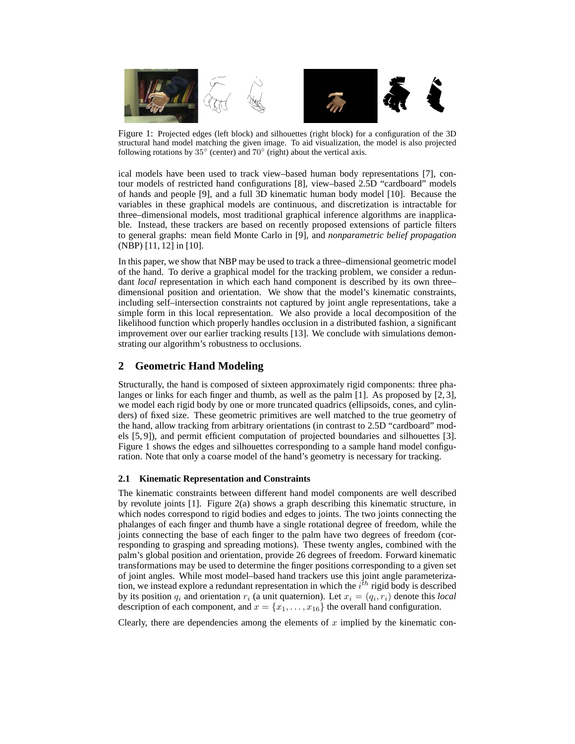

Figure 1: Projected edges (left block) and silhouettes (right block) for a configuration of the 3D structural hand model matching the given image. To aid visualization, the model is also projected following rotations by  $35^{\circ}$  (center) and  $70^{\circ}$  (right) about the vertical axis.

ical models have been used to track view–based human body representations [7], contour models of restricted hand configurations [8], view–based 2.5D "cardboard" models of hands and people [9], and a full 3D kinematic human body model [10]. Because the variables in these graphical models are continuous, and discretization is intractable for three–dimensional models, most traditional graphical inference algorithms are inapplicable. Instead, these trackers are based on recently proposed extensions of particle filters to general graphs: mean field Monte Carlo in [9], and *nonparametric belief propagation* (NBP) [11, 12] in [10].

In this paper, we show that NBP may be used to track a three–dimensional geometric model of the hand. To derive a graphical model for the tracking problem, we consider a redundant *local* representation in which each hand component is described by its own three– dimensional position and orientation. We show that the model's kinematic constraints, including self–intersection constraints not captured by joint angle representations, take a simple form in this local representation. We also provide a local decomposition of the likelihood function which properly handles occlusion in a distributed fashion, a significant improvement over our earlier tracking results [13]. We conclude with simulations demonstrating our algorithm's robustness to occlusions.

# **2 Geometric Hand Modeling**

Structurally, the hand is composed of sixteen approximately rigid components: three phalanges or links for each finger and thumb, as well as the palm [1]. As proposed by [2, 3], we model each rigid body by one or more truncated quadrics (ellipsoids, cones, and cylinders) of fixed size. These geometric primitives are well matched to the true geometry of the hand, allow tracking from arbitrary orientations (in contrast to 2.5D "cardboard" models [5, 9]), and permit efficient computation of projected boundaries and silhouettes [3]. Figure 1 shows the edges and silhouettes corresponding to a sample hand model configuration. Note that only a coarse model of the hand's geometry is necessary for tracking.

# **2.1 Kinematic Representation and Constraints**

The kinematic constraints between different hand model components are well described by revolute joints [1]. Figure 2(a) shows a graph describing this kinematic structure, in which nodes correspond to rigid bodies and edges to joints. The two joints connecting the phalanges of each finger and thumb have a single rotational degree of freedom, while the joints connecting the base of each finger to the palm have two degrees of freedom (corresponding to grasping and spreading motions). These twenty angles, combined with the palm's global position and orientation, provide 26 degrees of freedom. Forward kinematic transformations may be used to determine the finger positions corresponding to a given set of joint angles. While most model–based hand trackers use this joint angle parameterization, we instead explore a redundant representation in which the  $i^{th}$  rigid body is described by its position  $q_i$  and orientation  $r_i$  (a unit quaternion). Let  $x_i = (q_i, r_i)$  denote this *local* description of each component, and  $x = \{x_1, \ldots, x_{16}\}\$ the overall hand configuration.

Clearly, there are dependencies among the elements of  $x$  implied by the kinematic con-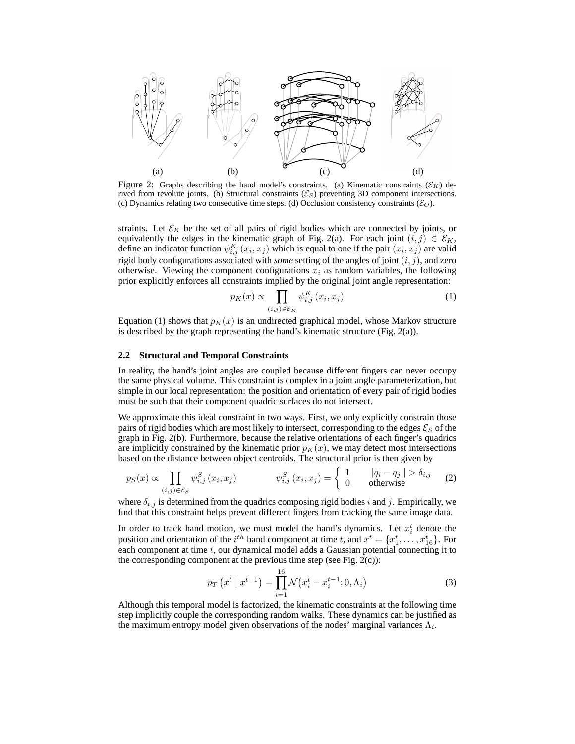

Figure 2: Graphs describing the hand model's constraints. (a) Kinematic constraints  $(\mathcal{E}_K)$  derived from revolute joints. (b) Structural constraints  $(\mathcal{E}_S)$  preventing 3D component intersections. (c) Dynamics relating two consecutive time steps. (d) Occlusion consistency constraints ( $\mathcal{E}_O$ ).

straints. Let  $\mathcal{E}_K$  be the set of all pairs of rigid bodies which are connected by joints, or equivalently the edges in the kinematic graph of Fig. 2(a). For each joint  $(i, j) \in \mathcal{E}_K$ , define an indicator function  $\psi_{i,j}^K(x_i, x_j)$  which is equal to one if the pair  $(x_i, x_j)$  are valid rigid body configurations associated with *some* setting of the angles of joint  $(i, j)$ , and zero otherwise. Viewing the component configurations  $x_i$  as random variables, the following prior explicitly enforces all constraints implied by the original joint angle representation:

$$
p_K(x) \propto \prod_{(i,j)\in \mathcal{E}_K} \psi_{i,j}^K(x_i, x_j) \tag{1}
$$

Equation (1) shows that  $p<sub>K</sub>(x)$  is an undirected graphical model, whose Markov structure is described by the graph representing the hand's kinematic structure (Fig. 2(a)).

### **2.2 Structural and Temporal Constraints**

In reality, the hand's joint angles are coupled because different fingers can never occupy the same physical volume. This constraint is complex in a joint angle parameterization, but simple in our local representation: the position and orientation of every pair of rigid bodies must be such that their component quadric surfaces do not intersect.

We approximate this ideal constraint in two ways. First, we only explicitly constrain those pairs of rigid bodies which are most likely to intersect, corresponding to the edges  $\mathcal{E}_S$  of the graph in Fig. 2(b). Furthermore, because the relative orientations of each finger's quadrics are implicitly constrained by the kinematic prior  $p<sub>K</sub>(x)$ , we may detect most intersections based on the distance between object centroids. The structural prior is then given by

$$
p_S(x) \propto \prod_{(i,j)\in\mathcal{E}_S} \psi_{i,j}^S(x_i, x_j) \qquad \qquad \psi_{i,j}^S(x_i, x_j) = \begin{cases} 1 & ||q_i - q_j|| > \delta_{i,j} \\ 0 & \text{otherwise} \end{cases} \tag{2}
$$

where  $\delta_{i,j}$  is determined from the quadrics composing rigid bodies i and j. Empirically, we find that this constraint helps prevent different fingers from tracking the same image data.

In order to track hand motion, we must model the hand's dynamics. Let  $x_i^t$  denote the position and orientation of the  $i^{th}$  hand component at time t, and  $x^t = \{x_1^t, \ldots, x_{16}^t\}$ . For each component at time  $t$ , our dynamical model adds a Gaussian potential connecting it to the corresponding component at the previous time step (see Fig.  $2(c)$ ):

$$
p_T\left(x^t \mid x^{t-1}\right) = \prod_{i=1}^{16} \mathcal{N}\left(x_i^t - x_i^{t-1}; 0, \Lambda_i\right) \tag{3}
$$

Although this temporal model is factorized, the kinematic constraints at the following time step implicitly couple the corresponding random walks. These dynamics can be justified as the maximum entropy model given observations of the nodes' marginal variances  $\Lambda_i$ .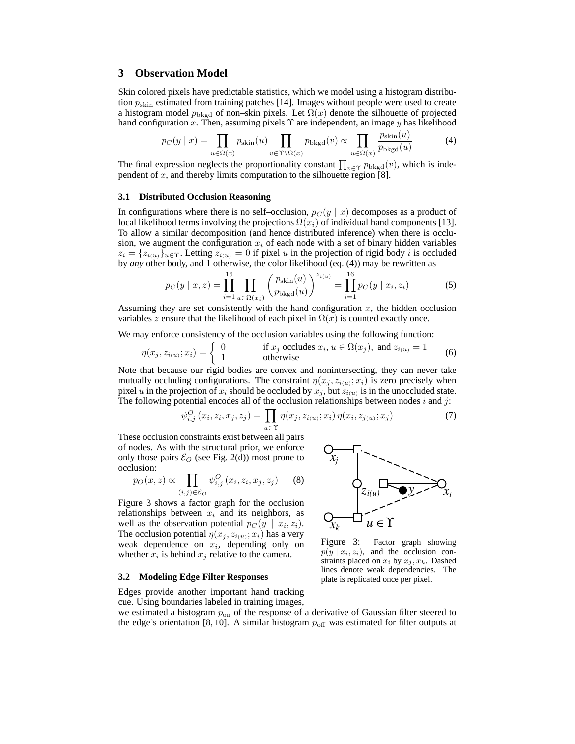## **3 Observation Model**

Skin colored pixels have predictable statistics, which we model using a histogram distribution  $p_{\text{skin}}$  estimated from training patches [14]. Images without people were used to create a histogram model  $p_{bkgd}$  of non–skin pixels. Let  $\Omega(x)$  denote the silhouette of projected hand configuration x. Then, assuming pixels  $\Upsilon$  are independent, an image y has likelihood

$$
p_C(y \mid x) = \prod_{u \in \Omega(x)} p_{\text{skin}}(u) \prod_{v \in \Upsilon \setminus \Omega(x)} p_{\text{bkgd}}(v) \propto \prod_{u \in \Omega(x)} \frac{p_{\text{skin}}(u)}{p_{\text{bkgd}}(u)} \tag{4}
$$

The final expression neglects the proportionality constant  $\prod_{v \in \Upsilon} p_{bkgd}(v)$ , which is independent of  $x$ , and thereby limits computation to the silhouette region [8].

#### **3.1 Distributed Occlusion Reasoning**

In configurations where there is no self–occlusion,  $p_C(y | x)$  decomposes as a product of local likelihood terms involving the projections  $\Omega(x_i)$  of individual hand components [13]. To allow a similar decomposition (and hence distributed inference) when there is occlusion, we augment the configuration  $x_i$  of each node with a set of binary hidden variables  $z_i = \{z_{i(u)}\}_{u \in \Upsilon}$ . Letting  $z_{i(u)} = 0$  if pixel u in the projection of rigid body i is occluded by *any* other body, and 1 otherwise, the color likelihood (eq. (4)) may be rewritten as

$$
p_C(y \mid x, z) = \prod_{i=1}^{16} \prod_{u \in \Omega(x_i)} \left( \frac{p_{\text{skin}}(u)}{p_{\text{bkgd}}(u)} \right)^{z_{i(u)}} = \prod_{i=1}^{16} p_C(y \mid x_i, z_i)
$$
(5)

Assuming they are set consistently with the hand configuration  $x$ , the hidden occlusion variables z ensure that the likelihood of each pixel in  $\Omega(x)$  is counted exactly once.

We may enforce consistency of the occlusion variables using the following function:

$$
\eta(x_j, z_{i(u)}; x_i) = \begin{cases}\n0 & \text{if } x_j \text{ occludes } x_i, u \in \Omega(x_j), \text{ and } z_{i(u)} = 1 \\
1 & \text{otherwise}\n\end{cases}
$$
\n(6)

Note that because our rigid bodies are convex and nonintersecting, they can never take mutually occluding configurations. The constraint  $\eta(x_j, z_{i(u)}; x_i)$  is zero precisely when pixel u in the projection of  $x_i$  should be occluded by  $x_j$ , but  $z_{i(u)}$  is in the unoccluded state. The following potential encodes all of the occlusion relationships between nodes  $i$  and  $j$ :

$$
\psi_{i,j}^O(x_i, z_i, x_j, z_j) = \prod_{u \in \Upsilon} \eta(x_j, z_{i(u)}; x_i) \eta(x_i, z_{j(u)}; x_j)
$$
(7)

These occlusion constraints exist between all pairs of nodes. As with the structural prior, we enforce only those pairs  $\mathcal{E}_O$  (see Fig. 2(d)) most prone to occlusion:

$$
p_O(x, z) \propto \prod_{(i,j) \in \mathcal{E}_O} \psi_{i,j}^O(x_i, z_i, x_j, z_j)
$$
 (8)

Figure 3 shows a factor graph for the occlusion relationships between  $x_i$  and its neighbors, as well as the observation potential  $p_C(y \mid x_i, z_i)$ . The occlusion potential  $\eta(x_j, z_{i(u)}; x_i)$  has a very weak dependence on  $x_i$ , depending only on whether  $x_i$  is behind  $x_j$  relative to the camera.

#### **3.2 Modeling Edge Filter Responses**

Edges provide another important hand tracking cue. Using boundaries labeled in training images,



Figure 3: Factor graph showing  $p(y | x_i, z_i)$ , and the occlusion constraints placed on  $x_i$  by  $x_j, x_k$ . Dashed lines denote weak dependencies. The plate is replicated once per pixel.

we estimated a histogram  $p_{on}$  of the response of a derivative of Gaussian filter steered to the edge's orientation [8, 10]. A similar histogram  $p_{\text{off}}$  was estimated for filter outputs at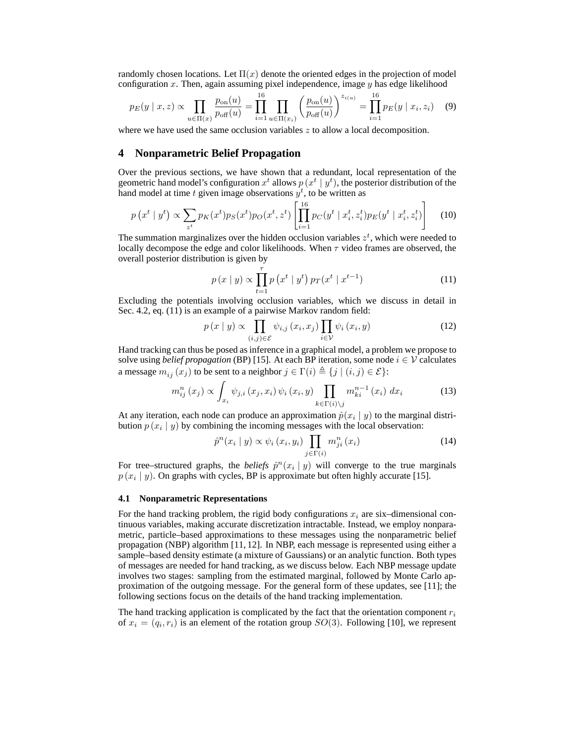randomly chosen locations. Let  $\Pi(x)$  denote the oriented edges in the projection of model configuration x. Then, again assuming pixel independence, image  $\gamma$  has edge likelihood

$$
p_E(y \mid x, z) \propto \prod_{u \in \Pi(x)} \frac{p_{\text{on}}(u)}{p_{\text{off}}(u)} = \prod_{i=1}^{16} \prod_{u \in \Pi(x_i)} \left(\frac{p_{\text{on}}(u)}{p_{\text{off}}(u)}\right)^{z_{i(u)}} = \prod_{i=1}^{16} p_E(y \mid x_i, z_i) \quad (9)
$$

where we have used the same occlusion variables  $z$  to allow a local decomposition.

## **4 Nonparametric Belief Propagation**

Over the previous sections, we have shown that a redundant, local representation of the geometric hand model's configuration  $x^t$  allows  $p(x^t | y^t)$ , the posterior distribution of the hand model at time t given image observations  $y^t$ , to be written as

$$
p(x^t | y^t) \propto \sum_{z^t} p_K(x^t) p_S(x^t) p_O(x^t, z^t) \left[ \prod_{i=1}^{16} p_C(y^t | x_i^t, z_i^t) p_E(y^t | x_i^t, z_i^t) \right]
$$
(10)

The summation marginalizes over the hidden occlusion variables  $z<sup>t</sup>$ , which were needed to locally decompose the edge and color likelihoods. When  $\tau$  video frames are observed, the overall posterior distribution is given by

$$
p(x | y) \propto \prod_{t=1}^{\tau} p(x^t | y^t) p_T(x^t | x^{t-1})
$$
 (11)

Excluding the potentials involving occlusion variables, which we discuss in detail in Sec. 4.2, eq. (11) is an example of a pairwise Markov random field:

$$
p(x | y) \propto \prod_{(i,j)\in \mathcal{E}} \psi_{i,j} (x_i, x_j) \prod_{i\in \mathcal{V}} \psi_i (x_i, y)
$$
 (12)

Hand tracking can thus be posed as inference in a graphical model, a problem we propose to solve using *belief propagation* (BP) [15]. At each BP iteration, some node  $i \in V$  calculates a message  $m_{ij}(x_j)$  to be sent to a neighbor  $j \in \Gamma(i) \triangleq \{j | (i, j) \in \mathcal{E}\}\$ :

$$
m_{ij}^{n}(x_{j}) \propto \int_{x_{i}} \psi_{j,i}(x_{j}, x_{i}) \psi_{i}(x_{i}, y) \prod_{k \in \Gamma(i) \setminus j} m_{ki}^{n-1}(x_{i}) dx_{i}
$$
 (13)

At any iteration, each node can produce an approximation  $\hat{p}(x_i | y)$  to the marginal distribution  $p(x_i | y)$  by combining the incoming messages with the local observation:

$$
\hat{p}^n(x_i \mid y) \propto \psi_i(x_i, y_i) \prod_{j \in \Gamma(i)} m_{ji}^n(x_i) \tag{14}
$$

For tree–structured graphs, the *beliefs*  $\hat{p}^n(x_i | y)$  will converge to the true marginals  $p(x_i | y)$ . On graphs with cycles, BP is approximate but often highly accurate [15].

#### **4.1 Nonparametric Representations**

For the hand tracking problem, the rigid body configurations  $x_i$  are six–dimensional continuous variables, making accurate discretization intractable. Instead, we employ nonparametric, particle–based approximations to these messages using the nonparametric belief propagation (NBP) algorithm [11, 12]. In NBP, each message is represented using either a sample–based density estimate (a mixture of Gaussians) or an analytic function. Both types of messages are needed for hand tracking, as we discuss below. Each NBP message update involves two stages: sampling from the estimated marginal, followed by Monte Carlo approximation of the outgoing message. For the general form of these updates, see [11]; the following sections focus on the details of the hand tracking implementation.

The hand tracking application is complicated by the fact that the orientation component  $r_i$ of  $x_i = (q_i, r_i)$  is an element of the rotation group  $SO(3)$ . Following [10], we represent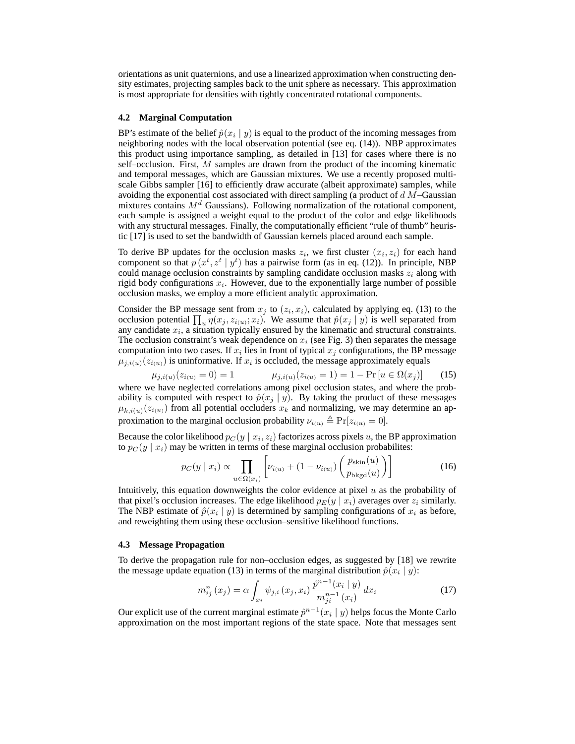orientations as unit quaternions, and use a linearized approximation when constructing density estimates, projecting samples back to the unit sphere as necessary. This approximation is most appropriate for densities with tightly concentrated rotational components.

### **4.2 Marginal Computation**

BP's estimate of the belief  $\hat{p}(x_i \mid y)$  is equal to the product of the incoming messages from neighboring nodes with the local observation potential (see eq. (14)). NBP approximates this product using importance sampling, as detailed in [13] for cases where there is no self–occlusion. First, M samples are drawn from the product of the incoming kinematic and temporal messages, which are Gaussian mixtures. We use a recently proposed multiscale Gibbs sampler [16] to efficiently draw accurate (albeit approximate) samples, while avoiding the exponential cost associated with direct sampling (a product of  $d$  M–Gaussian mixtures contains  $M<sup>d</sup>$  Gaussians). Following normalization of the rotational component, each sample is assigned a weight equal to the product of the color and edge likelihoods with any structural messages. Finally, the computationally efficient "rule of thumb" heuristic [17] is used to set the bandwidth of Gaussian kernels placed around each sample.

To derive BP updates for the occlusion masks  $z_i$ , we first cluster  $(x_i, z_i)$  for each hand component so that  $p(x^t, z^t | y^t)$  has a pairwise form (as in eq. (12)). In principle, NBP could manage occlusion constraints by sampling candidate occlusion masks  $z_i$  along with rigid body configurations  $x_i$ . However, due to the exponentially large number of possible occlusion masks, we employ a more efficient analytic approximation.

Consider the BP message sent from  $x_j$  to  $(z_i, x_i)$ , calculated by applying eq. (13) to the occlusion potential  $\prod_u \eta(x_j, z_{i(u)}; x_i)$ . We assume that  $\hat{p}(x_j | y)$  is well separated from any candidate  $x_i$ , a situation typically ensured by the kinematic and structural constraints. The occlusion constraint's weak dependence on  $x_i$  (see Fig. 3) then separates the message computation into two cases. If  $x_i$  lies in front of typical  $x_j$  configurations, the BP message  $\mu_{j,i(u)}(z_{i(u)})$  is uninformative. If  $x_i$  is occluded, the message approximately equals

$$
\mu_{j,i(u)}(z_{i(u)} = 0) = 1 \qquad \qquad \mu_{j,i(u)}(z_{i(u)} = 1) = 1 - \Pr\left[u \in \Omega(x_j)\right] \tag{15}
$$

where we have neglected correlations among pixel occlusion states, and where the probability is computed with respect to  $\hat{p}(x_j | y)$ . By taking the product of these messages  $\mu_{k,i(u)}(z_{i(u)})$  from all potential occluders  $x_k$  and normalizing, we may determine an approximation to the marginal occlusion probability  $\nu_{i(u)} \triangleq \Pr[z_{i(u)} = 0].$ 

Because the color likelihood  $p_C(y \mid x_i, z_i)$  factorizes across pixels  $u$ , the BP approximation to  $p_C(y | x_i)$  may be written in terms of these marginal occlusion probabilites:

$$
p_C(y \mid x_i) \propto \prod_{u \in \Omega(x_i)} \left[ \nu_{i(u)} + (1 - \nu_{i(u)}) \left( \frac{p_{\text{skin}}(u)}{p_{\text{bkgd}}(u)} \right) \right]
$$
(16)

Intuitively, this equation downweights the color evidence at pixel  $u$  as the probability of that pixel's occlusion increases. The edge likelihood  $p_E(y | x_i)$  averages over  $z_i$  similarly. The NBP estimate of  $\hat{p}(x_i | y)$  is determined by sampling configurations of  $x_i$  as before, and reweighting them using these occlusion–sensitive likelihood functions.

#### **4.3 Message Propagation**

To derive the propagation rule for non–occlusion edges, as suggested by [18] we rewrite the message update equation (13) in terms of the marginal distribution  $\hat{p}(x_i | y)$ :

$$
m_{ij}^{n}(x_{j}) = \alpha \int_{x_{i}} \psi_{j,i}(x_{j}, x_{i}) \frac{\hat{p}^{n-1}(x_{i} \mid y)}{m_{ji}^{n-1}(x_{i})} dx_{i}
$$
(17)

Our explicit use of the current marginal estimate  $\hat{p}^{n-1}(x_i | y)$  helps focus the Monte Carlo approximation on the most important regions of the state space. Note that messages sent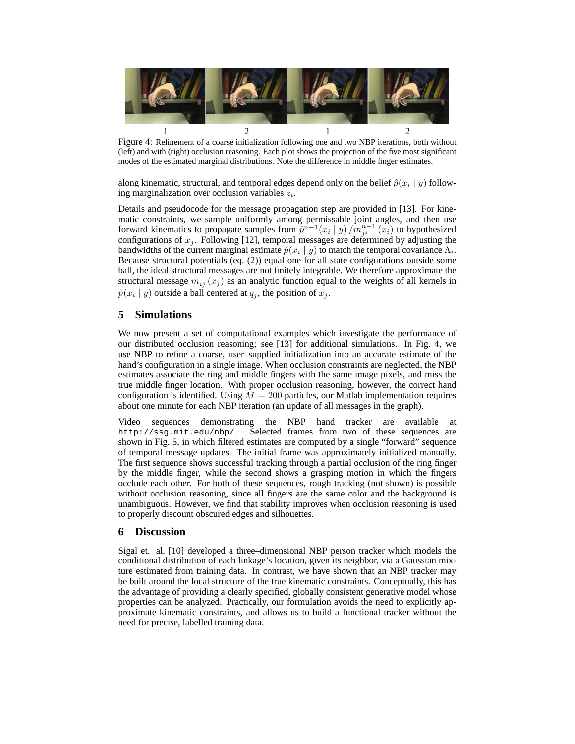

Figure 4: Refinement of a coarse initialization following one and two NBP iterations, both without (left) and with (right) occlusion reasoning. Each plot shows the projection of the five most significant modes of the estimated marginal distributions. Note the difference in middle finger estimates.

along kinematic, structural, and temporal edges depend only on the belief  $\hat{p}(x_i \mid y)$  following marginalization over occlusion variables  $z_i$ .

Details and pseudocode for the message propagation step are provided in [13]. For kinematic constraints, we sample uniformly among permissable joint angles, and then use forward kinematics to propagate samples from  $\hat{p}^{n-1}(x_i \mid y) / m_{ji}^{n-1}(x_i)$  to hypothesized configurations of  $x_j$ . Following [12], temporal messages are determined by adjusting the bandwidths of the current marginal estimate  $\hat{p}(x_i | y)$  to match the temporal covariance  $\Lambda_i$ . Because structural potentials (eq. (2)) equal one for all state configurations outside some ball, the ideal structural messages are not finitely integrable. We therefore approximate the structural message  $m_{ij} (x_j)$  as an analytic function equal to the weights of all kernels in  $\hat{p}(x_i | y)$  outside a ball centered at  $q_j$ , the position of  $x_j$ .

# **5 Simulations**

We now present a set of computational examples which investigate the performance of our distributed occlusion reasoning; see [13] for additional simulations. In Fig. 4, we use NBP to refine a coarse, user–supplied initialization into an accurate estimate of the hand's configuration in a single image. When occlusion constraints are neglected, the NBP estimates associate the ring and middle fingers with the same image pixels, and miss the true middle finger location. With proper occlusion reasoning, however, the correct hand configuration is identified. Using  $M = 200$  particles, our Matlab implementation requires about one minute for each NBP iteration (an update of all messages in the graph).

Video sequences demonstrating the NBP hand tracker are available at http://ssg.mit.edu/nbp/. Selected frames from two of these sequences are shown in Fig. 5, in which filtered estimates are computed by a single "forward" sequence of temporal message updates. The initial frame was approximately initialized manually. The first sequence shows successful tracking through a partial occlusion of the ring finger by the middle finger, while the second shows a grasping motion in which the fingers occlude each other. For both of these sequences, rough tracking (not shown) is possible without occlusion reasoning, since all fingers are the same color and the background is unambiguous. However, we find that stability improves when occlusion reasoning is used to properly discount obscured edges and silhouettes.

# **6 Discussion**

Sigal et. al. [10] developed a three–dimensional NBP person tracker which models the conditional distribution of each linkage's location, given its neighbor, via a Gaussian mixture estimated from training data. In contrast, we have shown that an NBP tracker may be built around the local structure of the true kinematic constraints. Conceptually, this has the advantage of providing a clearly specified, globally consistent generative model whose properties can be analyzed. Practically, our formulation avoids the need to explicitly approximate kinematic constraints, and allows us to build a functional tracker without the need for precise, labelled training data.